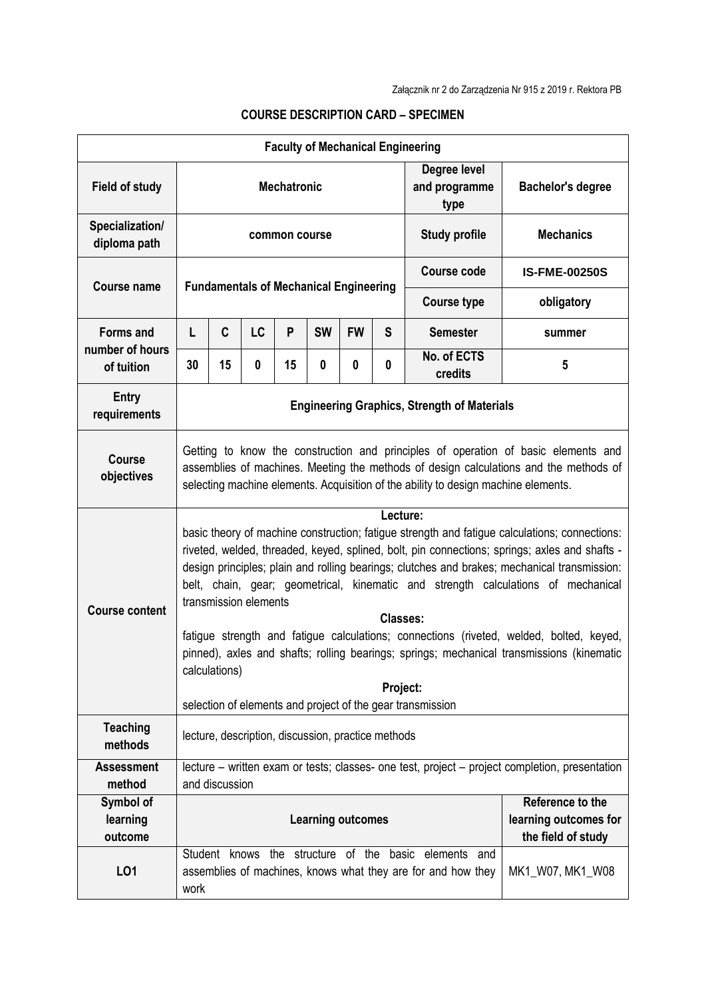| <b>Faculty of Mechanical Engineering</b> |                                                                                                                                                                                                                                                                                                                                                                                                                                                                                                                                                                                                                                                                                                                         |    |    |    |                  |           |                    |                                       |                          |
|------------------------------------------|-------------------------------------------------------------------------------------------------------------------------------------------------------------------------------------------------------------------------------------------------------------------------------------------------------------------------------------------------------------------------------------------------------------------------------------------------------------------------------------------------------------------------------------------------------------------------------------------------------------------------------------------------------------------------------------------------------------------------|----|----|----|------------------|-----------|--------------------|---------------------------------------|--------------------------|
| <b>Field of study</b>                    | <b>Mechatronic</b>                                                                                                                                                                                                                                                                                                                                                                                                                                                                                                                                                                                                                                                                                                      |    |    |    |                  |           |                    | Degree level<br>and programme<br>type | <b>Bachelor's degree</b> |
| Specialization/<br>diploma path          | common course                                                                                                                                                                                                                                                                                                                                                                                                                                                                                                                                                                                                                                                                                                           |    |    |    |                  |           |                    | <b>Study profile</b>                  | <b>Mechanics</b>         |
| <b>Course name</b>                       |                                                                                                                                                                                                                                                                                                                                                                                                                                                                                                                                                                                                                                                                                                                         |    |    |    |                  |           | <b>Course code</b> | <b>IS-FME-00250S</b>                  |                          |
|                                          | <b>Fundamentals of Mechanical Engineering</b>                                                                                                                                                                                                                                                                                                                                                                                                                                                                                                                                                                                                                                                                           |    |    |    |                  |           |                    | <b>Course type</b>                    | obligatory               |
| <b>Forms and</b><br>number of hours      | L                                                                                                                                                                                                                                                                                                                                                                                                                                                                                                                                                                                                                                                                                                                       | C  | LC | P  | <b>SW</b>        | <b>FW</b> | S                  | <b>Semester</b>                       | summer                   |
| of tuition                               | 30                                                                                                                                                                                                                                                                                                                                                                                                                                                                                                                                                                                                                                                                                                                      | 15 | 0  | 15 | 0                | 0         | 0                  | No. of ECTS<br>credits                | 5                        |
| Entry<br>requirements                    | <b>Engineering Graphics, Strength of Materials</b>                                                                                                                                                                                                                                                                                                                                                                                                                                                                                                                                                                                                                                                                      |    |    |    |                  |           |                    |                                       |                          |
| <b>Course</b><br>objectives              | Getting to know the construction and principles of operation of basic elements and<br>assemblies of machines. Meeting the methods of design calculations and the methods of<br>selecting machine elements. Acquisition of the ability to design machine elements.                                                                                                                                                                                                                                                                                                                                                                                                                                                       |    |    |    |                  |           |                    |                                       |                          |
| <b>Course content</b>                    | Lecture:<br>basic theory of machine construction; fatigue strength and fatigue calculations; connections:<br>riveted, welded, threaded, keyed, splined, bolt, pin connections; springs; axles and shafts -<br>design principles; plain and rolling bearings; clutches and brakes; mechanical transmission:<br>belt, chain, gear; geometrical, kinematic and strength calculations of mechanical<br>transmission elements<br>Classes:<br>fatigue strength and fatigue calculations; connections (riveted, welded, bolted, keyed,<br>pinned), axles and shafts; rolling bearings; springs; mechanical transmissions (kinematic<br>calculations)<br>Project:<br>selection of elements and project of the gear transmission |    |    |    |                  |           |                    |                                       |                          |
| <b>Teaching</b><br>methods               | lecture, description, discussion, practice methods                                                                                                                                                                                                                                                                                                                                                                                                                                                                                                                                                                                                                                                                      |    |    |    |                  |           |                    |                                       |                          |
| <b>Assessment</b><br>method              | lecture – written exam or tests; classes- one test, project – project completion, presentation<br>and discussion                                                                                                                                                                                                                                                                                                                                                                                                                                                                                                                                                                                                        |    |    |    |                  |           |                    |                                       |                          |
| Symbol of<br>learning<br>outcome         | Reference to the<br>learning outcomes for<br><b>Learning outcomes</b><br>the field of study                                                                                                                                                                                                                                                                                                                                                                                                                                                                                                                                                                                                                             |    |    |    |                  |           |                    |                                       |                          |
| L <sub>01</sub>                          | Student knows the structure of the basic elements and<br>assemblies of machines, knows what they are for and how they<br>work                                                                                                                                                                                                                                                                                                                                                                                                                                                                                                                                                                                           |    |    |    | MK1_W07, MK1_W08 |           |                    |                                       |                          |

## **COURSE DESCRIPTION CARD – SPECIMEN**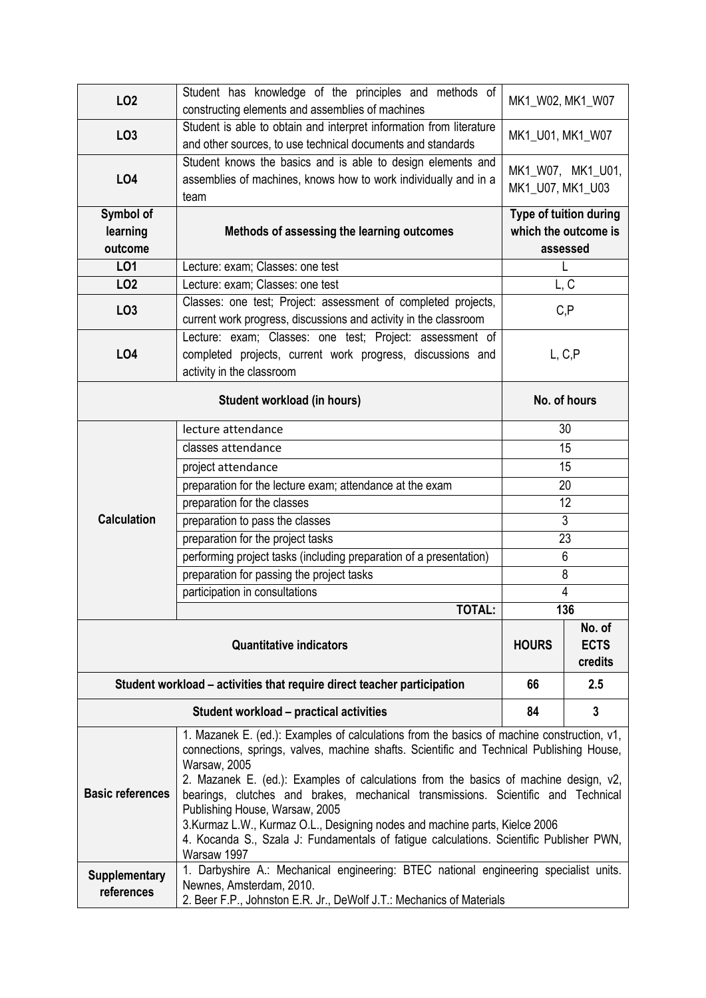| LO <sub>2</sub>                    | Student has knowledge of the principles and methods of<br>constructing elements and assemblies of machines                                                                                                                                                                                                                                                                                                                                                                                                                                                                                                            | MK1_W02, MK1_W07                                           |     |  |  |  |  |
|------------------------------------|-----------------------------------------------------------------------------------------------------------------------------------------------------------------------------------------------------------------------------------------------------------------------------------------------------------------------------------------------------------------------------------------------------------------------------------------------------------------------------------------------------------------------------------------------------------------------------------------------------------------------|------------------------------------------------------------|-----|--|--|--|--|
| LO <sub>3</sub>                    | Student is able to obtain and interpret information from literature<br>and other sources, to use technical documents and standards                                                                                                                                                                                                                                                                                                                                                                                                                                                                                    | MK1_U01, MK1_W07                                           |     |  |  |  |  |
| <b>LO4</b>                         | Student knows the basics and is able to design elements and<br>assemblies of machines, knows how to work individually and in a<br>team                                                                                                                                                                                                                                                                                                                                                                                                                                                                                | MK1_W07, MK1_U01,<br>MK1_U07, MK1_U03                      |     |  |  |  |  |
| Symbol of<br>learning<br>outcome   | Methods of assessing the learning outcomes                                                                                                                                                                                                                                                                                                                                                                                                                                                                                                                                                                            | Type of tuition during<br>which the outcome is<br>assessed |     |  |  |  |  |
| LO1                                | Lecture: exam; Classes: one test                                                                                                                                                                                                                                                                                                                                                                                                                                                                                                                                                                                      | L                                                          |     |  |  |  |  |
| LO <sub>2</sub>                    | Lecture: exam; Classes: one test                                                                                                                                                                                                                                                                                                                                                                                                                                                                                                                                                                                      | L, C                                                       |     |  |  |  |  |
| LO <sub>3</sub>                    | Classes: one test; Project: assessment of completed projects,<br>current work progress, discussions and activity in the classroom                                                                                                                                                                                                                                                                                                                                                                                                                                                                                     | C, P                                                       |     |  |  |  |  |
| <b>LO4</b>                         | Lecture: exam; Classes: one test; Project: assessment of<br>completed projects, current work progress, discussions and<br>activity in the classroom                                                                                                                                                                                                                                                                                                                                                                                                                                                                   | L, C, P                                                    |     |  |  |  |  |
|                                    | No. of hours                                                                                                                                                                                                                                                                                                                                                                                                                                                                                                                                                                                                          |                                                            |     |  |  |  |  |
|                                    | lecture attendance                                                                                                                                                                                                                                                                                                                                                                                                                                                                                                                                                                                                    | 30                                                         |     |  |  |  |  |
|                                    | classes attendance                                                                                                                                                                                                                                                                                                                                                                                                                                                                                                                                                                                                    | 15                                                         |     |  |  |  |  |
|                                    | project attendance                                                                                                                                                                                                                                                                                                                                                                                                                                                                                                                                                                                                    | 15                                                         |     |  |  |  |  |
|                                    | preparation for the lecture exam; attendance at the exam                                                                                                                                                                                                                                                                                                                                                                                                                                                                                                                                                              | 20                                                         |     |  |  |  |  |
|                                    | preparation for the classes                                                                                                                                                                                                                                                                                                                                                                                                                                                                                                                                                                                           | 12                                                         |     |  |  |  |  |
| <b>Calculation</b>                 | preparation to pass the classes                                                                                                                                                                                                                                                                                                                                                                                                                                                                                                                                                                                       | $\overline{3}$                                             |     |  |  |  |  |
|                                    | preparation for the project tasks                                                                                                                                                                                                                                                                                                                                                                                                                                                                                                                                                                                     | 23                                                         |     |  |  |  |  |
|                                    | performing project tasks (including preparation of a presentation)                                                                                                                                                                                                                                                                                                                                                                                                                                                                                                                                                    | 6                                                          |     |  |  |  |  |
|                                    | preparation for passing the project tasks                                                                                                                                                                                                                                                                                                                                                                                                                                                                                                                                                                             | 8                                                          |     |  |  |  |  |
|                                    | participation in consultations                                                                                                                                                                                                                                                                                                                                                                                                                                                                                                                                                                                        | $\overline{4}$                                             |     |  |  |  |  |
|                                    | <b>TOTAL:</b>                                                                                                                                                                                                                                                                                                                                                                                                                                                                                                                                                                                                         |                                                            |     |  |  |  |  |
|                                    | <b>HOURS</b>                                                                                                                                                                                                                                                                                                                                                                                                                                                                                                                                                                                                          | No. of<br><b>ECTS</b><br>credits                           |     |  |  |  |  |
|                                    | Student workload – activities that require direct teacher participation                                                                                                                                                                                                                                                                                                                                                                                                                                                                                                                                               | 66                                                         | 2.5 |  |  |  |  |
|                                    | 84                                                                                                                                                                                                                                                                                                                                                                                                                                                                                                                                                                                                                    | 3                                                          |     |  |  |  |  |
| <b>Basic references</b>            | 1. Mazanek E. (ed.): Examples of calculations from the basics of machine construction, v1,<br>connections, springs, valves, machine shafts. Scientific and Technical Publishing House,<br><b>Warsaw, 2005</b><br>2. Mazanek E. (ed.): Examples of calculations from the basics of machine design, v2,<br>bearings, clutches and brakes, mechanical transmissions. Scientific and Technical<br>Publishing House, Warsaw, 2005<br>3. Kurmaz L.W., Kurmaz O.L., Designing nodes and machine parts, Kielce 2006<br>4. Kocanda S., Szala J: Fundamentals of fatigue calculations. Scientific Publisher PWN,<br>Warsaw 1997 |                                                            |     |  |  |  |  |
| <b>Supplementary</b><br>references | 1. Darbyshire A.: Mechanical engineering: BTEC national engineering specialist units.<br>Newnes, Amsterdam, 2010.<br>2. Beer F.P., Johnston E.R. Jr., DeWolf J.T.: Mechanics of Materials                                                                                                                                                                                                                                                                                                                                                                                                                             |                                                            |     |  |  |  |  |